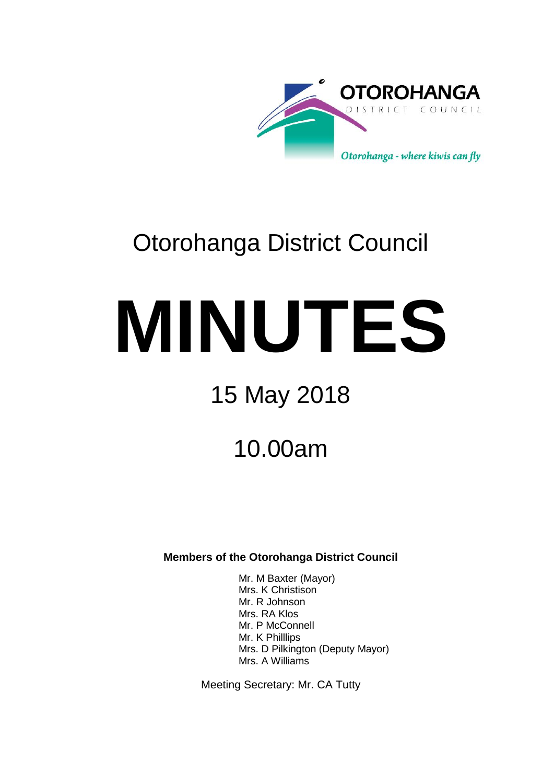

# Otorohanga District Council

# **MINUTES**

# 15 May 2018

## 10.00am

**Members of the Otorohanga District Council**

Mr. M Baxter (Mayor) Mrs. K Christison Mr. R Johnson Mrs. RA Klos Mr. P McConnell Mr. K Philllips Mrs. D Pilkington (Deputy Mayor) Mrs. A Williams

Meeting Secretary: Mr. CA Tutty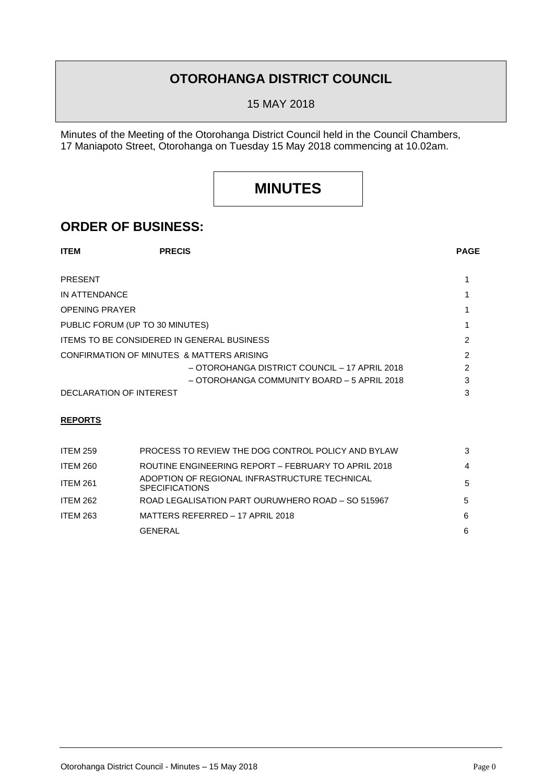## **OTOROHANGA DISTRICT COUNCIL**

15 MAY 2018

Minutes of the Meeting of the Otorohanga District Council held in the Council Chambers, 17 Maniapoto Street, Otorohanga on Tuesday 15 May 2018 commencing at 10.02am.

## **MINUTES**

### **ORDER OF BUSINESS:**

| <b>ITEM</b>                                       | <b>PRECIS</b>                                 | <b>PAGE</b> |
|---------------------------------------------------|-----------------------------------------------|-------------|
| <b>PRESENT</b>                                    |                                               |             |
| IN ATTENDANCE                                     |                                               |             |
| <b>OPENING PRAYER</b>                             |                                               |             |
| PUBLIC FORUM (UP TO 30 MINUTES)                   |                                               |             |
| <b>ITEMS TO BE CONSIDERED IN GENERAL BUSINESS</b> |                                               |             |
| CONFIRMATION OF MINUTES & MATTERS ARISING         |                                               |             |
|                                                   | - OTOROHANGA DISTRICT COUNCIL - 17 APRIL 2018 | 2           |
|                                                   | - OTOROHANGA COMMUNITY BOARD - 5 APRIL 2018   | 3           |
| DECLARATION OF INTEREST                           |                                               | 3           |

#### **REPORTS**

| <b>ITEM 259</b> | PROCESS TO REVIEW THE DOG CONTROL POLICY AND BYLAW                     | 3 |
|-----------------|------------------------------------------------------------------------|---|
| <b>ITEM 260</b> | ROUTINE ENGINEERING REPORT - FEBRUARY TO APRIL 2018                    | 4 |
| <b>ITEM 261</b> | ADOPTION OF REGIONAL INFRASTRUCTURE TECHNICAL<br><b>SPECIFICATIONS</b> | 5 |
| ITEM 262        | ROAD LEGALISATION PART OURUWHERO ROAD - SO 515967                      | 5 |
| <b>ITEM 263</b> | MATTERS REFERRED - 17 APRIL 2018                                       | 6 |
|                 | <b>GENERAL</b>                                                         | 6 |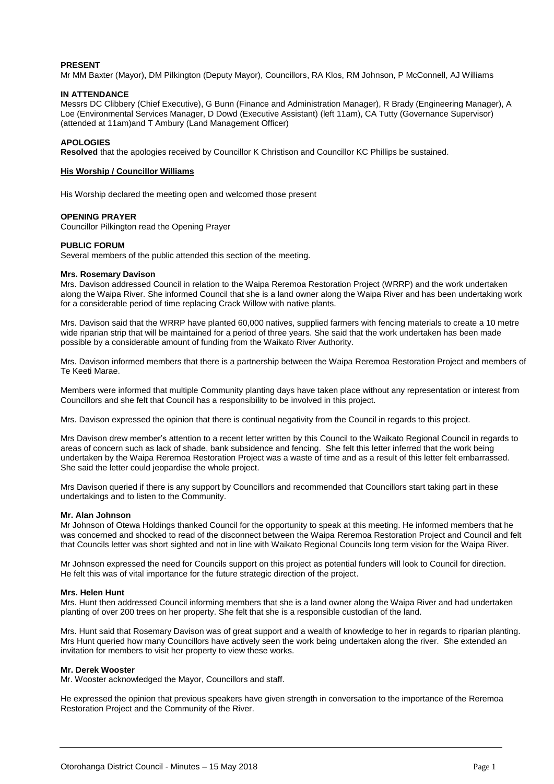#### **PRESENT**

Mr MM Baxter (Mayor), DM Pilkington (Deputy Mayor), Councillors, RA Klos, RM Johnson, P McConnell, AJ Williams

#### **IN ATTENDANCE**

Messrs DC Clibbery (Chief Executive), G Bunn (Finance and Administration Manager), R Brady (Engineering Manager), A Loe (Environmental Services Manager, D Dowd (Executive Assistant) (left 11am), CA Tutty (Governance Supervisor) (attended at 11am)and T Ambury (Land Management Officer)

#### **APOLOGIES**

**Resolved** that the apologies received by Councillor K Christison and Councillor KC Phillips be sustained.

#### **His Worship / Councillor Williams**

His Worship declared the meeting open and welcomed those present

#### **OPENING PRAYER**

Councillor Pilkington read the Opening Prayer

#### **PUBLIC FORUM**

Several members of the public attended this section of the meeting.

#### **Mrs. Rosemary Davison**

Mrs. Davison addressed Council in relation to the Waipa Reremoa Restoration Project (WRRP) and the work undertaken along the Waipa River. She informed Council that she is a land owner along the Waipa River and has been undertaking work for a considerable period of time replacing Crack Willow with native plants.

Mrs. Davison said that the WRRP have planted 60,000 natives, supplied farmers with fencing materials to create a 10 metre wide riparian strip that will be maintained for a period of three years. She said that the work undertaken has been made possible by a considerable amount of funding from the Waikato River Authority.

Mrs. Davison informed members that there is a partnership between the Waipa Reremoa Restoration Project and members of Te Keeti Marae.

Members were informed that multiple Community planting days have taken place without any representation or interest from Councillors and she felt that Council has a responsibility to be involved in this project.

Mrs. Davison expressed the opinion that there is continual negativity from the Council in regards to this project.

Mrs Davison drew member's attention to a recent letter written by this Council to the Waikato Regional Council in regards to areas of concern such as lack of shade, bank subsidence and fencing. She felt this letter inferred that the work being undertaken by the Waipa Reremoa Restoration Project was a waste of time and as a result of this letter felt embarrassed. She said the letter could jeopardise the whole project.

Mrs Davison queried if there is any support by Councillors and recommended that Councillors start taking part in these undertakings and to listen to the Community.

#### **Mr. Alan Johnson**

Mr Johnson of Otewa Holdings thanked Council for the opportunity to speak at this meeting. He informed members that he was concerned and shocked to read of the disconnect between the Waipa Reremoa Restoration Project and Council and felt that Councils letter was short sighted and not in line with Waikato Regional Councils long term vision for the Waipa River.

Mr Johnson expressed the need for Councils support on this project as potential funders will look to Council for direction. He felt this was of vital importance for the future strategic direction of the project.

#### **Mrs. Helen Hunt**

Mrs. Hunt then addressed Council informing members that she is a land owner along the Waipa River and had undertaken planting of over 200 trees on her property. She felt that she is a responsible custodian of the land.

Mrs. Hunt said that Rosemary Davison was of great support and a wealth of knowledge to her in regards to riparian planting. Mrs Hunt queried how many Councillors have actively seen the work being undertaken along the river. She extended an invitation for members to visit her property to view these works.

#### **Mr. Derek Wooster**

Mr. Wooster acknowledged the Mayor, Councillors and staff.

He expressed the opinion that previous speakers have given strength in conversation to the importance of the Reremoa Restoration Project and the Community of the River.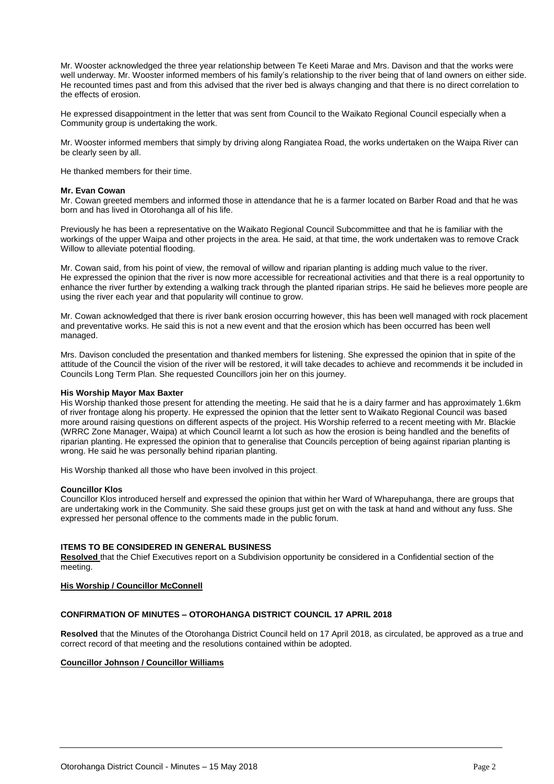Mr. Wooster acknowledged the three year relationship between Te Keeti Marae and Mrs. Davison and that the works were well underway. Mr. Wooster informed members of his family's relationship to the river being that of land owners on either side. He recounted times past and from this advised that the river bed is always changing and that there is no direct correlation to the effects of erosion.

He expressed disappointment in the letter that was sent from Council to the Waikato Regional Council especially when a Community group is undertaking the work.

Mr. Wooster informed members that simply by driving along Rangiatea Road, the works undertaken on the Waipa River can be clearly seen by all.

He thanked members for their time.

#### **Mr. Evan Cowan**

Mr. Cowan greeted members and informed those in attendance that he is a farmer located on Barber Road and that he was born and has lived in Otorohanga all of his life.

Previously he has been a representative on the Waikato Regional Council Subcommittee and that he is familiar with the workings of the upper Waipa and other projects in the area. He said, at that time, the work undertaken was to remove Crack Willow to alleviate potential flooding.

Mr. Cowan said, from his point of view, the removal of willow and riparian planting is adding much value to the river. He expressed the opinion that the river is now more accessible for recreational activities and that there is a real opportunity to enhance the river further by extending a walking track through the planted riparian strips. He said he believes more people are using the river each year and that popularity will continue to grow.

Mr. Cowan acknowledged that there is river bank erosion occurring however, this has been well managed with rock placement and preventative works. He said this is not a new event and that the erosion which has been occurred has been well managed.

Mrs. Davison concluded the presentation and thanked members for listening. She expressed the opinion that in spite of the attitude of the Council the vision of the river will be restored, it will take decades to achieve and recommends it be included in Councils Long Term Plan. She requested Councillors join her on this journey.

#### **His Worship Mayor Max Baxter**

His Worship thanked those present for attending the meeting. He said that he is a dairy farmer and has approximately 1.6km of river frontage along his property. He expressed the opinion that the letter sent to Waikato Regional Council was based more around raising questions on different aspects of the project. His Worship referred to a recent meeting with Mr. Blackie (WRRC Zone Manager, Waipa) at which Council learnt a lot such as how the erosion is being handled and the benefits of riparian planting. He expressed the opinion that to generalise that Councils perception of being against riparian planting is wrong. He said he was personally behind riparian planting.

His Worship thanked all those who have been involved in this project.

#### **Councillor Klos**

Councillor Klos introduced herself and expressed the opinion that within her Ward of Wharepuhanga, there are groups that are undertaking work in the Community. She said these groups just get on with the task at hand and without any fuss. She expressed her personal offence to the comments made in the public forum.

#### **ITEMS TO BE CONSIDERED IN GENERAL BUSINESS**

**Resolved** that the Chief Executives report on a Subdivision opportunity be considered in a Confidential section of the meeting.

#### **His Worship / Councillor McConnell**

#### **CONFIRMATION OF MINUTES – OTOROHANGA DISTRICT COUNCIL 17 APRIL 2018**

**Resolved** that the Minutes of the Otorohanga District Council held on 17 April 2018, as circulated, be approved as a true and correct record of that meeting and the resolutions contained within be adopted.

#### **Councillor Johnson / Councillor Williams**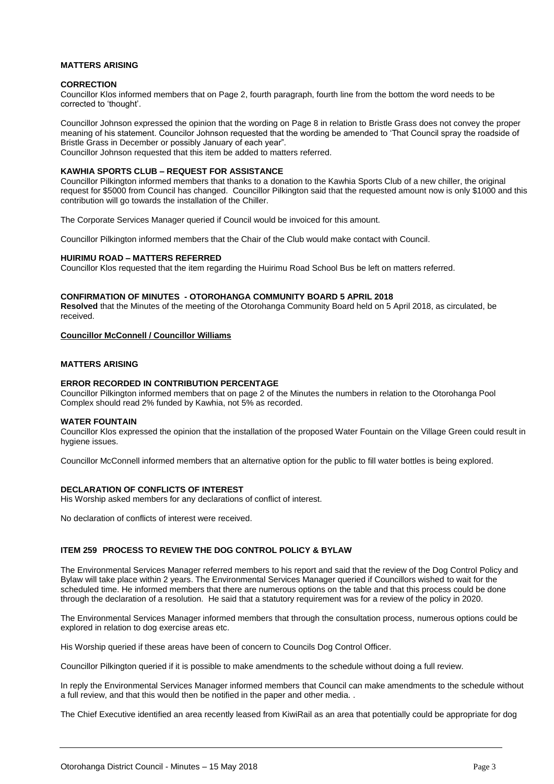#### **MATTERS ARISING**

#### **CORRECTION**

Councillor Klos informed members that on Page 2, fourth paragraph, fourth line from the bottom the word needs to be corrected to 'thought'.

Councillor Johnson expressed the opinion that the wording on Page 8 in relation to Bristle Grass does not convey the proper meaning of his statement. Councilor Johnson requested that the wording be amended to 'That Council spray the roadside of Bristle Grass in December or possibly January of each year". Councillor Johnson requested that this item be added to matters referred.

#### **KAWHIA SPORTS CLUB – REQUEST FOR ASSISTANCE**

Councillor Pilkington informed members that thanks to a donation to the Kawhia Sports Club of a new chiller, the original request for \$5000 from Council has changed. Councillor Pilkington said that the requested amount now is only \$1000 and this contribution will go towards the installation of the Chiller.

The Corporate Services Manager queried if Council would be invoiced for this amount.

Councillor Pilkington informed members that the Chair of the Club would make contact with Council.

#### **HUIRIMU ROAD – MATTERS REFERRED**

Councillor Klos requested that the item regarding the Huirimu Road School Bus be left on matters referred.

#### **CONFIRMATION OF MINUTES - OTOROHANGA COMMUNITY BOARD 5 APRIL 2018**

**Resolved** that the Minutes of the meeting of the Otorohanga Community Board held on 5 April 2018, as circulated, be received.

#### **Councillor McConnell / Councillor Williams**

#### **MATTERS ARISING**

#### **ERROR RECORDED IN CONTRIBUTION PERCENTAGE**

Councillor Pilkington informed members that on page 2 of the Minutes the numbers in relation to the Otorohanga Pool Complex should read 2% funded by Kawhia, not 5% as recorded.

#### **WATER FOUNTAIN**

Councillor Klos expressed the opinion that the installation of the proposed Water Fountain on the Village Green could result in hygiene issues.

Councillor McConnell informed members that an alternative option for the public to fill water bottles is being explored.

#### **DECLARATION OF CONFLICTS OF INTEREST**

His Worship asked members for any declarations of conflict of interest.

No declaration of conflicts of interest were received.

#### **ITEM 259 PROCESS TO REVIEW THE DOG CONTROL POLICY & BYLAW**

The Environmental Services Manager referred members to his report and said that the review of the Dog Control Policy and Bylaw will take place within 2 years. The Environmental Services Manager queried if Councillors wished to wait for the scheduled time. He informed members that there are numerous options on the table and that this process could be done through the declaration of a resolution. He said that a statutory requirement was for a review of the policy in 2020.

The Environmental Services Manager informed members that through the consultation process, numerous options could be explored in relation to dog exercise areas etc.

His Worship queried if these areas have been of concern to Councils Dog Control Officer.

Councillor Pilkington queried if it is possible to make amendments to the schedule without doing a full review.

In reply the Environmental Services Manager informed members that Council can make amendments to the schedule without a full review, and that this would then be notified in the paper and other media. .

The Chief Executive identified an area recently leased from KiwiRail as an area that potentially could be appropriate for dog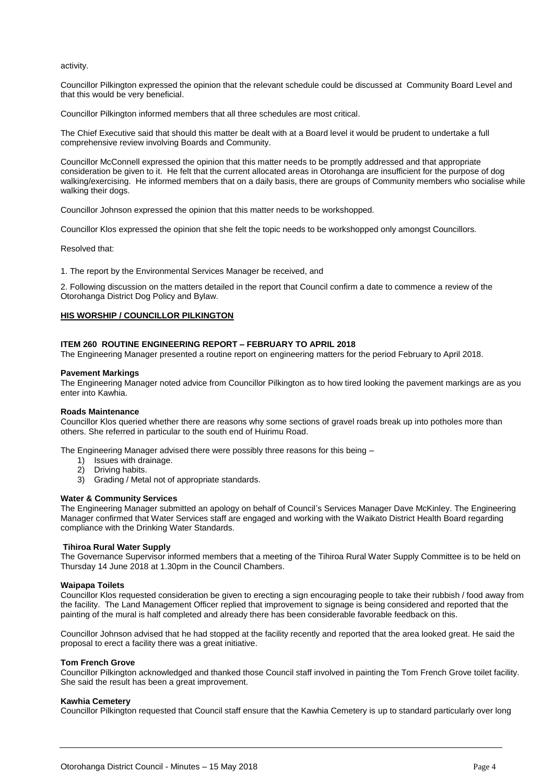activity.

Councillor Pilkington expressed the opinion that the relevant schedule could be discussed at Community Board Level and that this would be very beneficial.

Councillor Pilkington informed members that all three schedules are most critical.

The Chief Executive said that should this matter be dealt with at a Board level it would be prudent to undertake a full comprehensive review involving Boards and Community.

Councillor McConnell expressed the opinion that this matter needs to be promptly addressed and that appropriate consideration be given to it. He felt that the current allocated areas in Otorohanga are insufficient for the purpose of dog walking/exercising. He informed members that on a daily basis, there are groups of Community members who socialise while walking their dogs.

Councillor Johnson expressed the opinion that this matter needs to be workshopped.

Councillor Klos expressed the opinion that she felt the topic needs to be workshopped only amongst Councillors.

Resolved that:

1. The report by the Environmental Services Manager be received, and

2. Following discussion on the matters detailed in the report that Council confirm a date to commence a review of the Otorohanga District Dog Policy and Bylaw.

#### **HIS WORSHIP / COUNCILLOR PILKINGTON**

#### **ITEM 260 ROUTINE ENGINEERING REPORT – FEBRUARY TO APRIL 2018**

The Engineering Manager presented a routine report on engineering matters for the period February to April 2018.

#### **Pavement Markings**

The Engineering Manager noted advice from Councillor Pilkington as to how tired looking the pavement markings are as you enter into Kawhia.

#### **Roads Maintenance**

Councillor Klos queried whether there are reasons why some sections of gravel roads break up into potholes more than others. She referred in particular to the south end of Huirimu Road.

The Engineering Manager advised there were possibly three reasons for this being –

- 1) Issues with drainage.
- 2) Driving habits.
- 3) Grading / Metal not of appropriate standards.

#### **Water & Community Services**

The Engineering Manager submitted an apology on behalf of Council's Services Manager Dave McKinley. The Engineering Manager confirmed that Water Services staff are engaged and working with the Waikato District Health Board regarding compliance with the Drinking Water Standards.

#### **Tihiroa Rural Water Supply**

The Governance Supervisor informed members that a meeting of the Tihiroa Rural Water Supply Committee is to be held on Thursday 14 June 2018 at 1.30pm in the Council Chambers.

#### **Waipapa Toilets**

Councillor Klos requested consideration be given to erecting a sign encouraging people to take their rubbish / food away from the facility. The Land Management Officer replied that improvement to signage is being considered and reported that the painting of the mural is half completed and already there has been considerable favorable feedback on this.

Councillor Johnson advised that he had stopped at the facility recently and reported that the area looked great. He said the proposal to erect a facility there was a great initiative.

#### **Tom French Grove**

Councillor Pilkington acknowledged and thanked those Council staff involved in painting the Tom French Grove toilet facility. She said the result has been a great improvement.

#### **Kawhia Cemetery**

Councillor Pilkington requested that Council staff ensure that the Kawhia Cemetery is up to standard particularly over long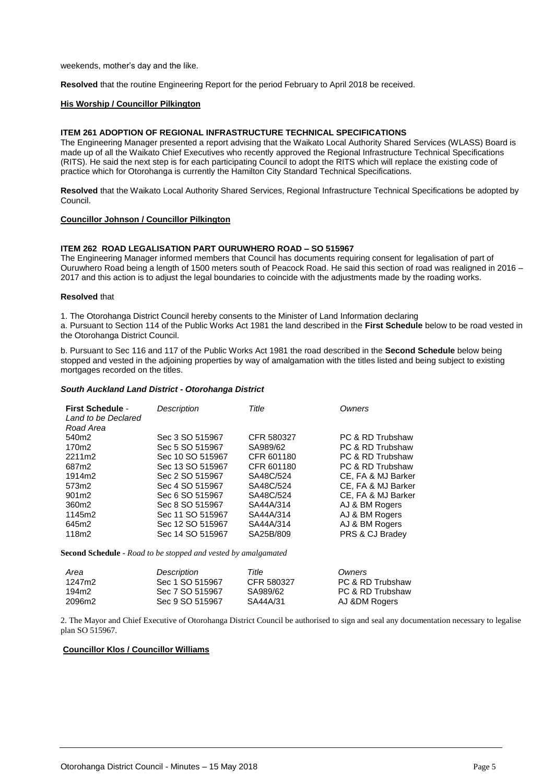weekends, mother's day and the like.

**Resolved** that the routine Engineering Report for the period February to April 2018 be received.

#### **His Worship / Councillor Pilkington**

#### **ITEM 261 ADOPTION OF REGIONAL INFRASTRUCTURE TECHNICAL SPECIFICATIONS**

The Engineering Manager presented a report advising that the Waikato Local Authority Shared Services (WLASS) Board is made up of all the Waikato Chief Executives who recently approved the Regional Infrastructure Technical Specifications (RITS). He said the next step is for each participating Council to adopt the RITS which will replace the existing code of practice which for Otorohanga is currently the Hamilton City Standard Technical Specifications.

**Resolved** that the Waikato Local Authority Shared Services, Regional Infrastructure Technical Specifications be adopted by Council.

#### **Councillor Johnson / Councillor Pilkington**

#### **ITEM 262 ROAD LEGALISATION PART OURUWHERO ROAD – SO 515967**

The Engineering Manager informed members that Council has documents requiring consent for legalisation of part of Ouruwhero Road being a length of 1500 meters south of Peacock Road. He said this section of road was realigned in 2016 – 2017 and this action is to adjust the legal boundaries to coincide with the adjustments made by the roading works.

#### **Resolved** that

1. The Otorohanga District Council hereby consents to the Minister of Land Information declaring

a. Pursuant to Section 114 of the Public Works Act 1981 the land described in the **First Schedule** below to be road vested in the Otorohanga District Council.

b. Pursuant to Sec 116 and 117 of the Public Works Act 1981 the road described in the **Second Schedule** below being stopped and vested in the adjoining properties by way of amalgamation with the titles listed and being subject to existing mortgages recorded on the titles.

#### *South Auckland Land District - Otorohanga District*

| <b>First Schedule -</b><br>Land to be Declared<br>Road Area | Description      | Title      | Owners             |
|-------------------------------------------------------------|------------------|------------|--------------------|
| 540m2                                                       | Sec 3 SO 515967  | CFR 580327 | PC & RD Trubshaw   |
| 170m2                                                       | Sec 5 SO 515967  | SA989/62   | PC & RD Trubshaw   |
| 2211m2                                                      | Sec 10 SO 515967 | CFR 601180 | PC & RD Trubshaw   |
| 687m2                                                       | Sec 13 SO 515967 | CFR 601180 | PC & RD Trubshaw   |
| 1914m2                                                      | Sec 2 SO 515967  | SA48C/524  | CE, FA & MJ Barker |
| 573m2                                                       | Sec 4 SO 515967  | SA48C/524  | CE, FA & MJ Barker |
| 901m2                                                       | Sec 6 SO 515967  | SA48C/524  | CE, FA & MJ Barker |
| 360m2                                                       | Sec 8 SO 515967  | SA44A/314  | AJ & BM Rogers     |
| 1145m2                                                      | Sec 11 SO 515967 | SA44A/314  | AJ & BM Rogers     |
| 645m2                                                       | Sec 12 SO 515967 | SA44A/314  | AJ & BM Rogers     |
| 118m2                                                       | Sec 14 SO 515967 | SA25B/809  | PRS & CJ Bradey    |

**Second Schedule** - *Road to be stopped and vested by amalgamated*

| Area   | Description     | Title      | Owners           |
|--------|-----------------|------------|------------------|
| 1247m2 | Sec 1 SO 515967 | CFR 580327 | PC & RD Trubshaw |
| 194m2  | Sec 7 SO 515967 | SA989/62   | PC & RD Trubshaw |
| 2096m2 | Sec 9 SO 515967 | SA44A/31   | AJ &DM Rogers    |

2. The Mayor and Chief Executive of Otorohanga District Council be authorised to sign and seal any documentation necessary to legalise plan SO 515967.

#### **Councillor Klos / Councillor Williams**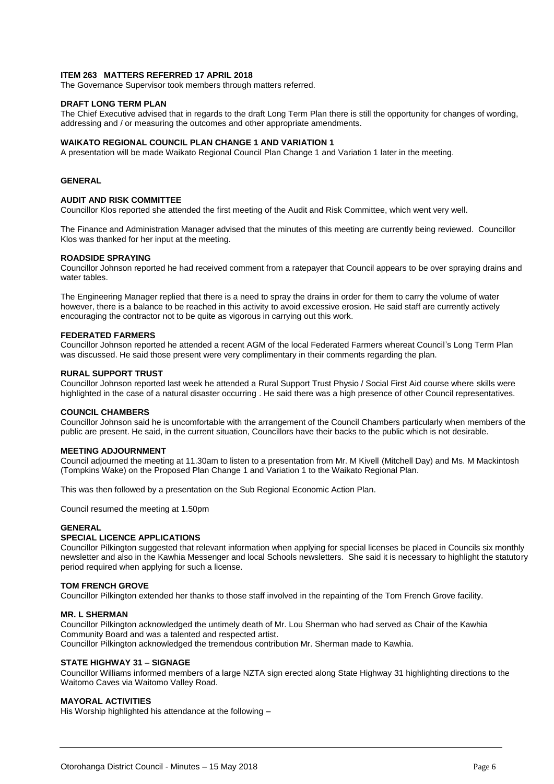#### **ITEM 263 MATTERS REFERRED 17 APRIL 2018**

The Governance Supervisor took members through matters referred.

#### **DRAFT LONG TERM PLAN**

The Chief Executive advised that in regards to the draft Long Term Plan there is still the opportunity for changes of wording, addressing and / or measuring the outcomes and other appropriate amendments.

#### **WAIKATO REGIONAL COUNCIL PLAN CHANGE 1 AND VARIATION 1**

A presentation will be made Waikato Regional Council Plan Change 1 and Variation 1 later in the meeting.

#### **GENERAL**

#### **AUDIT AND RISK COMMITTEE**

Councillor Klos reported she attended the first meeting of the Audit and Risk Committee, which went very well.

The Finance and Administration Manager advised that the minutes of this meeting are currently being reviewed. Councillor Klos was thanked for her input at the meeting.

#### **ROADSIDE SPRAYING**

Councillor Johnson reported he had received comment from a ratepayer that Council appears to be over spraying drains and water tables.

The Engineering Manager replied that there is a need to spray the drains in order for them to carry the volume of water however, there is a balance to be reached in this activity to avoid excessive erosion. He said staff are currently actively encouraging the contractor not to be quite as vigorous in carrying out this work.

#### **FEDERATED FARMERS**

Councillor Johnson reported he attended a recent AGM of the local Federated Farmers whereat Council's Long Term Plan was discussed. He said those present were very complimentary in their comments regarding the plan.

#### **RURAL SUPPORT TRUST**

Councillor Johnson reported last week he attended a Rural Support Trust Physio / Social First Aid course where skills were highlighted in the case of a natural disaster occurring . He said there was a high presence of other Council representatives.

#### **COUNCIL CHAMBERS**

Councillor Johnson said he is uncomfortable with the arrangement of the Council Chambers particularly when members of the public are present. He said, in the current situation, Councillors have their backs to the public which is not desirable.

#### **MEETING ADJOURNMENT**

Council adjourned the meeting at 11.30am to listen to a presentation from Mr. M Kivell (Mitchell Day) and Ms. M Mackintosh (Tompkins Wake) on the Proposed Plan Change 1 and Variation 1 to the Waikato Regional Plan.

This was then followed by a presentation on the Sub Regional Economic Action Plan.

Council resumed the meeting at 1.50pm

#### **GENERAL**

#### **SPECIAL LICENCE APPLICATIONS**

Councillor Pilkington suggested that relevant information when applying for special licenses be placed in Councils six monthly newsletter and also in the Kawhia Messenger and local Schools newsletters. She said it is necessary to highlight the statutory period required when applying for such a license.

#### **TOM FRENCH GROVE**

Councillor Pilkington extended her thanks to those staff involved in the repainting of the Tom French Grove facility.

#### **MR. L SHERMAN**

Councillor Pilkington acknowledged the untimely death of Mr. Lou Sherman who had served as Chair of the Kawhia Community Board and was a talented and respected artist. Councillor Pilkington acknowledged the tremendous contribution Mr. Sherman made to Kawhia.

#### **STATE HIGHWAY 31 – SIGNAGE**

Councillor Williams informed members of a large NZTA sign erected along State Highway 31 highlighting directions to the Waitomo Caves via Waitomo Valley Road.

#### **MAYORAL ACTIVITIES**

His Worship highlighted his attendance at the following –